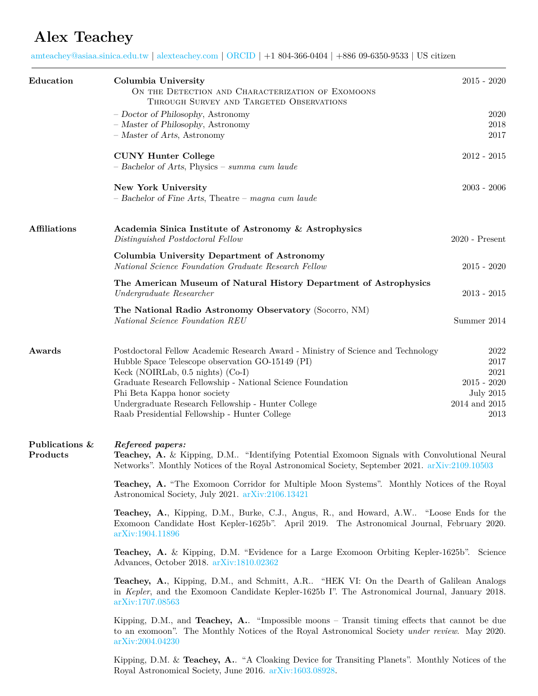## **Alex Teachey**

[amteachey@asiaa.sinica.edu.tw](mailto:amteachey@asiaa.sinica.edu.tw) | [alexteachey.com](http://www.alexteachey.com) | [ORCID](https://orcid.org/0000-0003-2331-5606) | +1 804-366-0404 | +886 09-6350-9533 | US citizen

| Education                        | Columbia University<br>ON THE DETECTION AND CHARACTERIZATION OF EXOMOONS                                                                                                                                                                                                                                                                                                         | $2015 - 2020$                                                                      |  |
|----------------------------------|----------------------------------------------------------------------------------------------------------------------------------------------------------------------------------------------------------------------------------------------------------------------------------------------------------------------------------------------------------------------------------|------------------------------------------------------------------------------------|--|
|                                  | THROUGH SURVEY AND TARGETED OBSERVATIONS<br>- Doctor of Philosophy, Astronomy<br>- Master of Philosophy, Astronomy<br>$-$ Master of Arts, Astronomy                                                                                                                                                                                                                              | 2020<br>2018<br>2017                                                               |  |
|                                  | <b>CUNY Hunter College</b><br>- Bachelor of Arts, Physics - summa cum laude                                                                                                                                                                                                                                                                                                      | $2012 - 2015$                                                                      |  |
|                                  | New York University<br>$-$ Bachelor of Fine Arts, Theatre $-$ magna cum laude                                                                                                                                                                                                                                                                                                    | $2003 - 2006$                                                                      |  |
| <b>Affiliations</b>              | Academia Sinica Institute of Astronomy & Astrophysics<br>Distinguished Postdoctoral Fellow                                                                                                                                                                                                                                                                                       | $2020$ - Present                                                                   |  |
|                                  | Columbia University Department of Astronomy<br>National Science Foundation Graduate Research Fellow                                                                                                                                                                                                                                                                              | $2015 - 2020$                                                                      |  |
|                                  | The American Museum of Natural History Department of Astrophysics<br>Undergraduate Researcher                                                                                                                                                                                                                                                                                    | $2013 - 2015$                                                                      |  |
|                                  | The National Radio Astronomy Observatory (Socorro, NM)<br>National Science Foundation REU                                                                                                                                                                                                                                                                                        | Summer 2014                                                                        |  |
| Awards                           | Postdoctoral Fellow Academic Research Award - Ministry of Science and Technology<br>Hubble Space Telescope observation GO-15149 (PI)<br>Keck (NOIRLab, $0.5$ nights) (Co-I)<br>Graduate Research Fellowship - National Science Foundation<br>Phi Beta Kappa honor society<br>Undergraduate Research Fellowship - Hunter College<br>Raab Presidential Fellowship - Hunter College | 2022<br>2017<br>2021<br>$2015 - 2020$<br><b>July 2015</b><br>2014 and 2015<br>2013 |  |
| Publications &<br>$\bf Products$ | Refereed papers:<br>Teachey, A. & Kipping, D.M "Identifying Potential Exomoon Signals with Convolutional Neural<br>Networks". Monthly Notices of the Royal Astronomical Society, September 2021. arXiv:2109.10503                                                                                                                                                                |                                                                                    |  |
|                                  | Teachey, A. "The Exomoon Corridor for Multiple Moon Systems". Monthly Notices of the Royal<br>Astronomical Society, July 2021. arXiv:2106.13421                                                                                                                                                                                                                                  |                                                                                    |  |
|                                  | Teachey, A., Kipping, D.M., Burke, C.J., Angus, R., and Howard, A.W "Loose Ends for the<br>Exomoon Candidate Host Kepler-1625b". April 2019. The Astronomical Journal, February 2020.<br>arXiv:1904.11896                                                                                                                                                                        |                                                                                    |  |
|                                  | <b>Teachey, A.</b> & Kipping, D.M. "Evidence for a Large Exomoon Orbiting Kepler-1625b". Science<br>Advances, October 2018. arXiv:1810.02362                                                                                                                                                                                                                                     |                                                                                    |  |
|                                  | <b>Teachey, A.</b> , Kipping, D.M., and Schmitt, A.R "HEK VI: On the Dearth of Galilean Analogs<br>in Kepler, and the Exomoon Candidate Kepler-1625b I". The Astronomical Journal, January 2018.<br>arXiv:1707.08563                                                                                                                                                             |                                                                                    |  |
|                                  | Kipping, D.M., and Teachey, A. "Impossible moons $-$ Transit timing effects that cannot be due<br>to an exomoon". The Monthly Notices of the Royal Astronomical Society under review. May 2020.<br>arXiv:2004.04230                                                                                                                                                              |                                                                                    |  |
|                                  | Kipping, D.M. & Teachey, A "A Cloaking Device for Transiting Planets". Monthly Notices of the                                                                                                                                                                                                                                                                                    |                                                                                    |  |

Royal Astronomical Society, June 2016. [arXiv:1603.08928](https://arxiv.org/abs/1603.08928).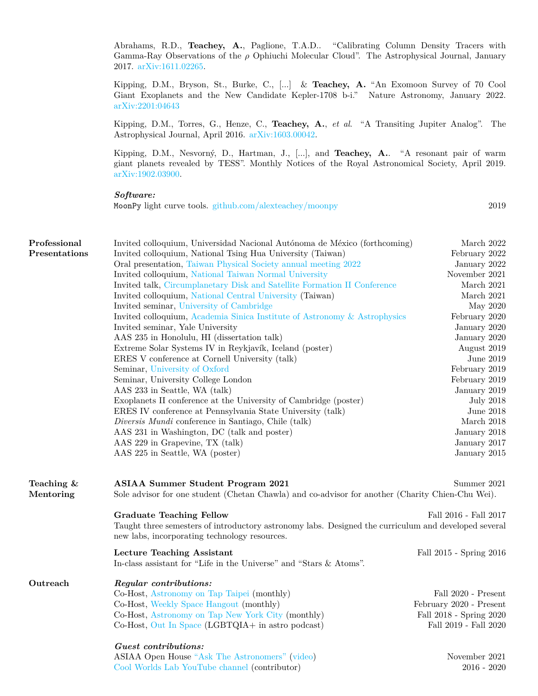Abrahams, R.D., **Teachey, A.**, Paglione, T.A.D.. "Calibrating Column Density Tracers with Gamma-Ray Observations of the *ρ* Ophiuchi Molecular Cloud". The Astrophysical Journal, January 2017. [arXiv:1611.02265](https://arxiv.org/abs/1611.02265).

Kipping, D.M., Bryson, St., Burke, C., [...] & **Teachey, A.** "An Exomoon Survey of 70 Cool Giant Exoplanets and the New Candidate Kepler-1708 b-i." Nature Astronomy, January 2022. [arXiv:2201:04643](https://arxiv.org/abs/2201.04643)

Kipping, D.M., Torres, G., Henze, C., **Teachey, A.**, *et al*. "A Transiting Jupiter Analog". The Astrophysical Journal, April 2016. [arXiv:1603.00042.](https://arxiv.org/abs/1603.00042)

Kipping, D.M., Nesvorný, D., Hartman, J., [...], and **Teachey, A.**. "A resonant pair of warm giant planets revealed by TESS". Monthly Notices of the Royal Astronomical Society, April 2019. [arXiv:1902.03900](https://arxiv.org/abs/1902.03900).

## *Software:*

MoonPy light curve tools. [github.com/alexteachey/moonpy](https://github.com/alexteachey/moonpy) 2019

| Professional<br>Presentations | Invited colloquium, Universidad Nacional Autónoma de México (forthcoming)<br>Invited colloquium, National Tsing Hua University (Taiwan)<br>Oral presentation, Taiwan Physical Society annual meeting 2022<br>Invited colloquium, National Taiwan Normal University<br>Invited talk, Circumplanetary Disk and Satellite Formation II Conference<br>Invited colloquium, National Central University (Taiwan)<br>Invited seminar, University of Cambridge<br>Invited colloquium, Academia Sinica Institute of Astronomy & Astrophysics<br>Invited seminar, Yale University<br>AAS 235 in Honolulu, HI (dissertation talk)<br>Extreme Solar Systems IV in Reykjavík, Iceland (poster)<br>ERES V conference at Cornell University (talk)<br>Seminar, University of Oxford<br>Seminar, University College London<br>AAS 233 in Seattle, WA (talk)<br>Exoplanets II conference at the University of Cambridge (poster)<br>ERES IV conference at Pennsylvania State University (talk)<br>Diversis Mundi conference in Santiago, Chile (talk)<br>AAS 231 in Washington, DC (talk and poster)<br>AAS 229 in Grapevine, TX (talk)<br>AAS 225 in Seattle, WA (poster) | March 2022<br>February 2022<br>January 2022<br>November 2021<br>March 2021<br>March 2021<br>May 2020<br>February 2020<br>January 2020<br>January 2020<br>August 2019<br>June 2019<br>February 2019<br>February 2019<br>January 2019<br><b>July 2018</b><br>June 2018<br>March 2018<br>January 2018<br>January 2017<br>January 2015 |  |
|-------------------------------|-----------------------------------------------------------------------------------------------------------------------------------------------------------------------------------------------------------------------------------------------------------------------------------------------------------------------------------------------------------------------------------------------------------------------------------------------------------------------------------------------------------------------------------------------------------------------------------------------------------------------------------------------------------------------------------------------------------------------------------------------------------------------------------------------------------------------------------------------------------------------------------------------------------------------------------------------------------------------------------------------------------------------------------------------------------------------------------------------------------------------------------------------------------|------------------------------------------------------------------------------------------------------------------------------------------------------------------------------------------------------------------------------------------------------------------------------------------------------------------------------------|--|
| Teaching $\&$<br>Mentoring    | <b>ASIAA Summer Student Program 2021</b><br>Summer 2021<br>Sole advisor for one student (Chetan Chawla) and co-advisor for another (Charity Chien-Chu Wei).                                                                                                                                                                                                                                                                                                                                                                                                                                                                                                                                                                                                                                                                                                                                                                                                                                                                                                                                                                                               |                                                                                                                                                                                                                                                                                                                                    |  |
|                               | <b>Graduate Teaching Fellow</b><br>Taught three semesters of introductory astronomy labs. Designed the curriculum and developed several<br>new labs, incorporating technology resources.                                                                                                                                                                                                                                                                                                                                                                                                                                                                                                                                                                                                                                                                                                                                                                                                                                                                                                                                                                  | Fall 2016 - Fall 2017                                                                                                                                                                                                                                                                                                              |  |
|                               | <b>Lecture Teaching Assistant</b><br>In-class assistant for "Life in the Universe" and "Stars & Atoms".                                                                                                                                                                                                                                                                                                                                                                                                                                                                                                                                                                                                                                                                                                                                                                                                                                                                                                                                                                                                                                                   | Fall 2015 - Spring 2016                                                                                                                                                                                                                                                                                                            |  |
| Outreach                      | Regular contributions:<br>Co-Host, Astronomy on Tap Taipei (monthly)<br>Co-Host, Weekly Space Hangout (monthly)<br>Co-Host, Astronomy on Tap New York City (monthly)<br>Co-Host, Out In Space (LGBTQIA+ in astro podcast)<br>Guest contributions:<br>ASIAA Open House "Ask The Astronomers" (video)                                                                                                                                                                                                                                                                                                                                                                                                                                                                                                                                                                                                                                                                                                                                                                                                                                                       | Fall 2020 - Present<br>February 2020 - Present<br>Fall 2018 - Spring 2020<br>Fall 2019 - Fall 2020<br>November 2021                                                                                                                                                                                                                |  |

[Cool Worlds Lab YouTube channel](https://www.youtube.com/channel/UCGHZpIpAWJQ-Jy_CeCdXhMA) (contributor) 2016 - 2020